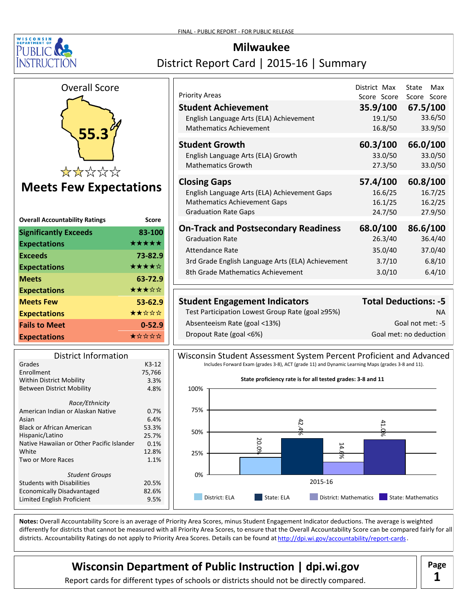

# **Milwaukee** District Report Card | 2015-16 | Summary



# **Meets Few Expectations**

| <b>Overall Accountability Ratings</b> | Score      |
|---------------------------------------|------------|
| <b>Significantly Exceeds</b>          | 83-100     |
| <b>Expectations</b>                   | *****      |
| <b>Exceeds</b>                        | 73-82.9    |
| <b>Expectations</b>                   | ★★★★☆      |
| <b>Meets</b>                          | 63-72.9    |
| <b>Expectations</b>                   | ★★★☆☆      |
| <b>Meets Few</b>                      | 53-62.9    |
| <b>Expectations</b>                   | ★★☆☆☆      |
| <b>Fails to Meet</b>                  | $0 - 52.9$ |
| <b>Expectations</b>                   | ★☆☆☆☆      |

| <b>District Information</b>               |         |
|-------------------------------------------|---------|
| Grades                                    | $K3-12$ |
| Enrollment                                | 75,766  |
| <b>Within District Mobility</b>           | 3.3%    |
| Between District Mobility                 | 4.8%    |
| Race/Ethnicity                            |         |
| American Indian or Alaskan Native         | 0.7%    |
| Asian                                     | 6.4%    |
| Black or African American                 | 53.3%   |
| Hispanic/Latino                           | 25.7%   |
| Native Hawaiian or Other Pacific Islander | 0.1%    |
| White                                     | 12.8%   |
| Two or More Races                         | 1.1%    |
| <b>Student Groups</b>                     |         |
| <b>Students with Disabilities</b>         | 20.5%   |
| <b>Economically Disadvantaged</b>         | 82.6%   |
| Limited English Proficient                | 9.5%    |
|                                           |         |

| <b>Priority Areas</b><br><b>Student Achievement</b> | District Max<br>Score Score | State<br>Max<br>Score Score<br>35.9/100 67.5/100 |
|-----------------------------------------------------|-----------------------------|--------------------------------------------------|
| English Language Arts (ELA) Achievement             | 19.1/50                     | 33.6/50                                          |
| <b>Mathematics Achievement</b>                      | 16.8/50                     | 33.9/50                                          |
| Student Growth                                      | 60.3/100                    | 66.0/100                                         |
| English Language Arts (ELA) Growth                  | 33.0/50                     | 33.0/50                                          |
| <b>Mathematics Growth</b>                           | 27.3/50                     | 33.0/50                                          |
| <b>Closing Gaps</b>                                 | 57.4/100                    | 60.8/100                                         |
| English Language Arts (ELA) Achievement Gaps        | 16.6/25                     | 16.7/25                                          |
| <b>Mathematics Achievement Gaps</b>                 | 16.1/25                     | 16.2/25                                          |
| <b>Graduation Rate Gaps</b>                         | 24.7/50                     | 27.9/50                                          |
| <b>On-Track and Postsecondary Readiness</b>         | 68.0/100                    | 86.6/100                                         |
| <b>Graduation Rate</b>                              | 26.3/40                     | 36.4/40                                          |
| Attendance Rate                                     | 35.0/40                     | 37.0/40                                          |
| 3rd Grade English Language Arts (ELA) Achievement   | 3.7/10                      | 6.8/10                                           |
| 8th Grade Mathematics Achievement                   | 3.0/10                      | 6.4/10                                           |

| <b>Student Engagement Indicators</b>             | <b>Total Deductions: -5</b> |
|--------------------------------------------------|-----------------------------|
| Test Participation Lowest Group Rate (goal ≥95%) | ΝA                          |
| Absenteeism Rate (goal <13%)                     | Goal not met: -5            |
| Dropout Rate (goal <6%)                          | Goal met: no deduction      |

Wisconsin Student Assessment System Percent Proficient and Advanced Includes Forward Exam (grades 3-8), ACT (grade 11) and Dynamic Learning Maps (grades 3-8 and 11).



Notes: Overall Accountability Score is an average of Priority Area Scores, minus Student Engagement Indicator deductions. The average is weighted differently for districts that cannot be measured with all Priority Area Scores, to ensure that the Overall Accountability Score can be compared fairly for all districts. Accountability Ratings do not apply to Priority Area Scores. Details can be found at http://dpi.wi.gov/accountability/report-cards

# **Wisconsin Department of Public Instruction | dpi.wi.gov | Page**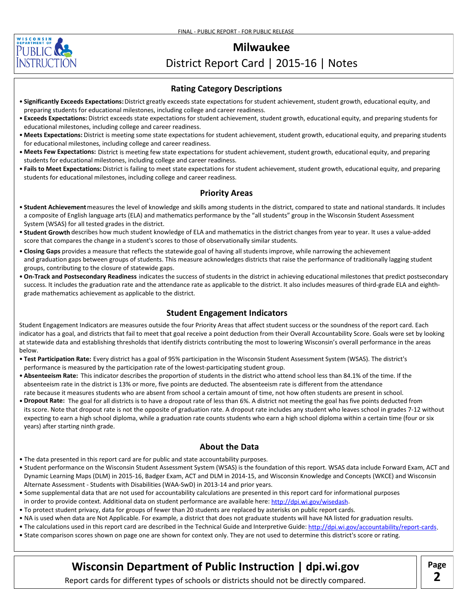

# District Report Card | 2015-16 | Notes

#### **Rating Category Descriptions**

- Significantly Exceeds Expectations: District greatly exceeds state expectations for student achievement, student growth, educational equity, and preparing students for educational milestones, including college and career readiness.
- Exceeds Expectations: District exceeds state expectations for student achievement, student growth, educational equity, and preparing students for educational milestones, including college and career readiness.
- Meets Expectations: District is meeting some state expectations for student achievement, student growth, educational equity, and preparing students for educational milestones, including college and career readiness.
- Meets Few Expectations: District is meeting few state expectations for student achievement, student growth, educational equity, and preparing students for educational milestones, including college and career readiness.
- Fails to Meet Expectations: District is failing to meet state expectations for student achievement, student growth, educational equity, and preparing students for educational milestones, including college and career readiness.

#### **Priority Areas**

- **Student Achievement** measures the level of knowledge and skills among students in the district, compared to state and national standards. It includes a composite of English language arts (ELA) and mathematics performance by the "all students" group in the Wisconsin Student Assessment System (WSAS) for all tested grades in the district.
- **Student Growth** describes how much student knowledge of ELA and mathematics in the district changes from year to year. It uses a value-added score that compares the change in a student's scores to those of observationally similar students.
- Closing Gaps provides a measure that reflects the statewide goal of having all students improve, while narrowing the achievement and graduation gaps between groups of students. This measure acknowledges districts that raise the performance of traditionally lagging student groups, contributing to the closure of statewide gaps.
- On-Track and Postsecondary Readiness indicates the success of students in the district in achieving educational milestones that predict postsecondary success. It includes the graduation rate and the attendance rate as applicable to the district. It also includes measures of third-grade ELA and eighth grade mathematics achievement as applicable to the district.

#### **Student Engagement Indicators**

Student Engagement Indicators are measures outside the four Priority Areas that affect student success or the soundness of the report card. Each indicator has a goal, and districts that fail to meet that goal receive a point deduction from their Overall Accountability Score. Goals were set by looking at statewide data and establishing thresholds that identify districts contributing the most to lowering Wisconsin's overall performance in the areas below.

- Test Participation Rate: Every district has a goal of 95% participation in the Wisconsin Student Assessment System (WSAS). The district's performance is measured by the participation rate of the lowest-participating student group.
- Absenteeism Rate: This indicator describes the proportion of students in the district who attend school less than 84.1% of the time. If the absenteeism rate in the district is 13% or more, five points are deducted. The absenteeism rate is different from the attendance rate because it measures students who are absent from school a certain amount of time, not how often students are present in school.
- Dropout Rate: The goal for all districts is to have a dropout rate of less than 6%. A district not meeting the goal has five points deducted from its score. Note that dropout rate is not the opposite of graduation rate. A dropout rate includes any student who leaves school in grades 7-12 without expecting to earn a high school diploma, while a graduation rate counts students who earn a high school diploma within a certain time (four or six years) after starting ninth grade.

#### **About the Data**

- The data presented in this report card are for public and state accountability purposes.
- Student performance on the Wisconsin Student Assessment System (WSAS) is the foundation of this report. WSAS data include Forward Exam, ACT and Dynamic Learning Maps (DLM) in 2015-16, Badger Exam, ACT and DLM in 2014-15, and Wisconsin Knowledge and Concepts (WKCE) and Wisconsin Alternate Assessment - Students with Disabilities (WAA-SwD) in 2013-14 and prior years.
- Some supplemental data that are not used for accountability calculations are presented in this report card for informational purposes in order to provide context. Additional data on student performance are available here: http://dpi.wi.gov/wisedash.
- To protect student privacy, data for groups of fewer than 20 students are replaced by asterisks on public report cards.
- NA is used when data are Not Applicable. For example, a district that does not graduate students will have NA listed for graduation results.
- The calculations used in this report card are described in the Technical Guide and Interpretive Guide: <http://dpi.wi.gov/accountability/report-cards>
- State comparison scores shown on page one are shown for context only. They are not used to determine this district's score or rating.

# **Wisconsin Department of Public Instruction | dpi.wi.gov**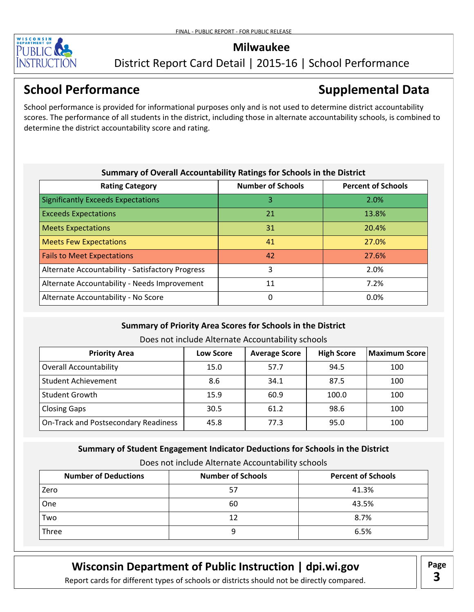

### District Report Card Detail | 2015-16 | School Performance

# **School Performance Supplemental Data**

School performance is provided for informational purposes only and is not used to determine district accountability scores. The performance of all students in the district, including those in alternate accountability schools, is combined to determine the district accountability score and rating.

| Summary of Overall Accountability Ratings for Schools in the District |                          |                           |
|-----------------------------------------------------------------------|--------------------------|---------------------------|
| <b>Rating Category</b>                                                | <b>Number of Schools</b> | <b>Percent of Schools</b> |
| <b>Significantly Exceeds Expectations</b>                             | 3                        | 2.0%                      |
| <b>Exceeds Expectations</b>                                           | 21                       | 13.8%                     |
| <b>Meets Expectations</b>                                             | 31                       | 20.4%                     |
| <b>Meets Few Expectations</b>                                         | 41                       | 27.0%                     |
| <b>Fails to Meet Expectations</b>                                     | 42                       | 27.6%                     |
| Alternate Accountability - Satisfactory Progress                      | 3                        | 2.0%                      |
| Alternate Accountability - Needs Improvement                          | 11                       | 7.2%                      |
| Alternate Accountability - No Score                                   | 0                        | $0.0\%$                   |

### **Summary of Priority Area Scores for Schools in the District**

Does not include Alternate Accountability schools

| <b>Priority Area</b>                 | <b>Low Score</b> | <b>Average Score</b> | <b>High Score</b> | <b>Maximum Score</b> |
|--------------------------------------|------------------|----------------------|-------------------|----------------------|
| <b>Overall Accountability</b>        | 15.0             | 57.7                 | 94.5              | 100                  |
| <b>Student Achievement</b>           | 8.6              | 34.1                 | 87.5              | 100                  |
| <b>Student Growth</b>                | 15.9             | 60.9                 | 100.0             | 100                  |
| <b>Closing Gaps</b>                  | 30.5             | 61.2                 | 98.6              | 100                  |
| On-Track and Postsecondary Readiness | 45.8             | 77.3                 | 95.0              | 100                  |

### **Summary of Student Engagement Indicator Deductions for Schools in the District**

Does not include Alternate Accountability schools

| <b>Number of Deductions</b> | <b>Number of Schools</b> | <b>Percent of Schools</b> |
|-----------------------------|--------------------------|---------------------------|
| Zero                        | 57                       | 41.3%                     |
| One                         | 60                       | 43.5%                     |
| Two                         | 12                       | 8.7%                      |
| Three                       |                          | 6.5%                      |

## **Wisconsin Department of Public Instruction | dpi.wi.gov | Page**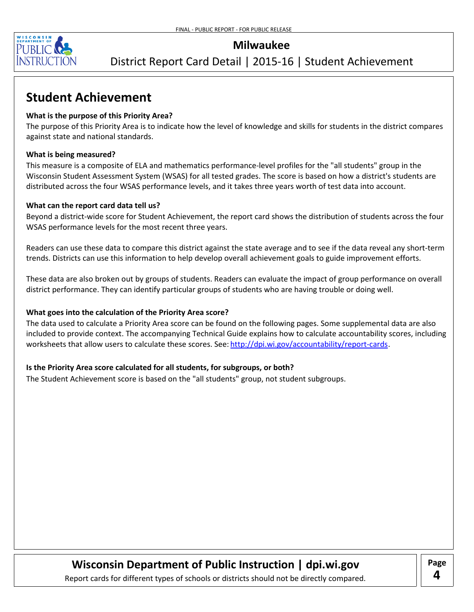

### District Report Card Detail | 2015-16 | Student Achievement

# **Student Achievement**

#### **What is the purpose of this Priority Area?**

The purpose of this Priority Area is to indicate how the level of knowledge and skills for students in the district compares against state and national standards.

#### **What is being measured?**

This measure is a composite of ELA and mathematics performance-level profiles for the "all students" group in the Wisconsin Student Assessment System (WSAS) for all tested grades. The score is based on how a district's students are distributed across the four WSAS performance levels, and it takes three years worth of test data into account.

#### **What can the report card data tell us?**

Beyond a district-wide score for Student Achievement, the report card shows the distribution of students across the four WSAS performance levels for the most recent three years.

Readers can use these data to compare this district against the state average and to see if the data reveal any short-term trends. Districts can use this information to help develop overall achievement goals to guide improvement efforts.

These data are also broken out by groups of students. Readers can evaluate the impact of group performance on overall district performance. They can identify particular groups of students who are having trouble or doing well.

#### **What goes into the calculation of the Priority Area score?**

The data used to calculate a Priority Area score can be found on the following pages. Some supplemental data are also included to provide context. The accompanying Technical Guide explains how to calculate accountability scores, including worksheets that allow users to calculate these scores. See: http://dpi.wi.gov/accountability/report-cards.

#### **Is the Priority Area score calculated for all students, for subgroups, or both?**

The Student Achievement score is based on the "all students" group, not student subgroups.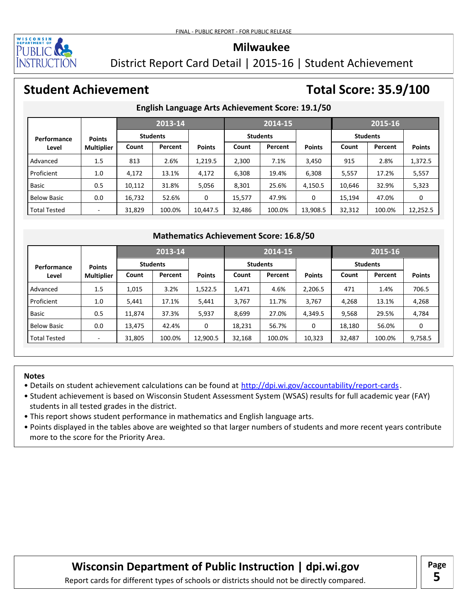

District Report Card Detail | 2015-16 | Student Achievement

# **Student Achievement Total Score: 35.9/100**

### **English Language Arts Achievement Score: 19.1/50**

|                     |                   |        | 2013-14         |                                               |        | 2014-15         |               |                 | 2015-16 |               |
|---------------------|-------------------|--------|-----------------|-----------------------------------------------|--------|-----------------|---------------|-----------------|---------|---------------|
| Performance         | <b>Points</b>     |        | <b>Students</b> |                                               |        | <b>Students</b> |               | <b>Students</b> |         |               |
| Level               | <b>Multiplier</b> | Count  | Percent         | <b>Points</b>                                 | Count  | Percent         | <b>Points</b> | Count           | Percent | <b>Points</b> |
| Advanced            | 1.5               | 813    | 2.6%            | 1,219.5                                       | 2,300  | 7.1%            | 3,450         | 915             | 2.8%    | 1,372.5       |
| Proficient          | 1.0               | 4,172  | 13.1%           | 4,172                                         | 6,308  | 19.4%           | 6,308         | 5,557           | 17.2%   | 5,557         |
| Basic               | 0.5               | 10,112 | 31.8%           | 5,056                                         | 8,301  | 25.6%           | 4,150.5       | 10,646          | 32.9%   | 5,323         |
| <b>Below Basic</b>  | 0.0               | 16,732 | 52.6%           | 0                                             | 15,577 | 47.9%           | 0             | 15,194          | 47.0%   | 0             |
| <b>Total Tested</b> | -                 | 31,829 | 100.0%          | 10,447.5                                      | 32,486 | 100.0%          | 13,908.5      | 32,312          | 100.0%  | 12,252.5      |
|                     |                   |        |                 |                                               |        |                 |               |                 |         |               |
|                     |                   |        |                 | <b>Mathematics Achievement Score: 16.8/50</b> |        |                 |               |                 |         |               |
|                     |                   |        | 2013-14         |                                               |        | 2014-15         |               |                 | 2015-16 |               |

#### **Mathematics Achievement Score: 16.8/50**

|                     |                   |        | 2013-14         |               |        | 2014-15         |               | 2015-16         |         |               |  |
|---------------------|-------------------|--------|-----------------|---------------|--------|-----------------|---------------|-----------------|---------|---------------|--|
| Performance         | <b>Points</b>     |        | <b>Students</b> |               |        | <b>Students</b> |               | <b>Students</b> |         |               |  |
| Level               | <b>Multiplier</b> | Count  | Percent         | <b>Points</b> | Count  | Percent         | <b>Points</b> | Count           | Percent | <b>Points</b> |  |
| Advanced            | 1.5               | 1,015  | 3.2%            | 1,522.5       | 1,471  | 4.6%            | 2,206.5       | 471             | 1.4%    | 706.5         |  |
| Proficient          | 1.0               | 5,441  | 17.1%           | 5,441         | 3,767  | 11.7%           | 3,767         | 4,268           | 13.1%   | 4,268         |  |
| <b>Basic</b>        | 0.5               | 11,874 | 37.3%           | 5,937         | 8,699  | 27.0%           | 4,349.5       | 9,568           | 29.5%   | 4,784         |  |
| <b>Below Basic</b>  | 0.0               | 13,475 | 42.4%           | 0             | 18,231 | 56.7%           | 0             | 18,180          | 56.0%   | 0             |  |
| <b>Total Tested</b> | ٠                 | 31,805 | 100.0%          | 12,900.5      | 32,168 | 100.0%          | 10,323        | 32,487          | 100.0%  | 9,758.5       |  |

#### **Notes**

- Details on student achievement calculations can be found at http://dpi[.](http://dpi.wi.gov/accountability/report-cards)wi.gov/accountability/report-cards.
- Student achievement is based on Wisconsin Student Assessment System (WSAS) results for full academic year (FAY) students in all tested grades in the district.
- This report shows student performance in mathematics and English language arts.
- Points displayed in the tables above are weighted so that larger numbers of students and more recent years contribute more to the score for the Priority Area.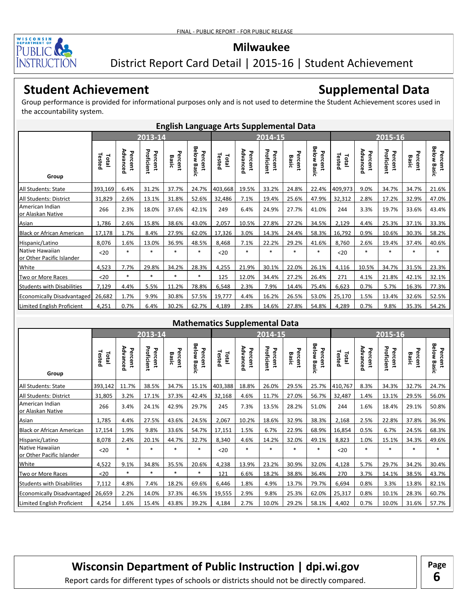

### District Report Card Detail | 2015-16 | Student Achievement

# **Student Achievement**

# **Supplemental Data**

Group performance is provided for informational purposes only and is not used to determine the Student Achievement scores used in the accountability system.

|                                              | <b>English Language Arts Supplemental Data</b> |                     |                       |                  |                               |                 |                     |                       |                  |                        |                 |                     |                       |                  |                               |
|----------------------------------------------|------------------------------------------------|---------------------|-----------------------|------------------|-------------------------------|-----------------|---------------------|-----------------------|------------------|------------------------|-----------------|---------------------|-----------------------|------------------|-------------------------------|
|                                              |                                                |                     | 2013-14               |                  |                               | 2014-15         |                     |                       |                  | 2015-16                |                 |                     |                       |                  |                               |
| Group                                        | Tested<br>Total                                | Advanced<br>Percent | Proficient<br>Percent | Percent<br>Basic | <b>Below Basic</b><br>Percent | Tested<br>Total | Advanced<br>Percent | Proficient<br>Percent | Percent<br>Basic | Below Basic<br>Percent | Tested<br>Total | Advanced<br>Percent | Proficient<br>Percent | Percent<br>Basic | <b>Below Basic</b><br>Percent |
| All Students: State                          | 393,169                                        | 6.4%                | 31.2%                 | 37.7%            | 24.7%                         | 403,668         | 19.5%               | 33.2%                 | 24.8%            | 22.4%                  | 409,973         | 9.0%                | 34.7%                 | 34.7%            | 21.6%                         |
| All Students: District                       | 31,829                                         | 2.6%                | 13.1%                 | 31.8%            | 52.6%                         | 32,486          | 7.1%                | 19.4%                 | 25.6%            | 47.9%                  | 32,312          | 2.8%                | 17.2%                 | 32.9%            | 47.0%                         |
| American Indian<br>or Alaskan Native         | 266                                            | 2.3%                | 18.0%                 | 37.6%            | 42.1%                         | 249             | 6.4%                | 24.9%                 | 27.7%            | 41.0%                  | 244             | 3.3%                | 19.7%                 | 33.6%            | 43.4%                         |
| Asian                                        | 1,786                                          | 2.6%                | 15.8%                 | 38.6%            | 43.0%                         | 2,057           | 10.5%               | 27.8%                 | 27.2%            | 34.5%                  | 2,129           | 4.4%                | 25.3%                 | 37.1%            | 33.3%                         |
| <b>Black or African American</b>             | 17,178                                         | 1.7%                | 8.4%                  | 27.9%            | 62.0%                         | 17,326          | 3.0%                | 14.3%                 | 24.4%            | 58.3%                  | 16,792          | 0.9%                | 10.6%                 | 30.3%            | 58.2%                         |
| Hispanic/Latino                              | 8,076                                          | 1.6%                | 13.0%                 | 36.9%            | 48.5%                         | 8,468           | 7.1%                | 22.2%                 | 29.2%            | 41.6%                  | 8,760           | 2.6%                | 19.4%                 | 37.4%            | 40.6%                         |
| Native Hawaiian<br>or Other Pacific Islander | $20$                                           | $\ast$              | $\ast$                | $\ast$           | $\ast$                        | $20$            | $\ast$              | $\ast$                | $\ast$           | $*$                    | $20$            | $\ast$              | $\ast$                | $\ast$           | $\ast$                        |
| White                                        | 4,523                                          | 7.7%                | 29.8%                 | 34.2%            | 28.3%                         | 4,255           | 21.9%               | 30.1%                 | 22.0%            | 26.1%                  | 4,116           | 10.5%               | 34.7%                 | 31.5%            | 23.3%                         |
| Two or More Races                            | $20$                                           | $\ast$              | $\ast$                | $\ast$           | *                             | 125             | 12.0%               | 34.4%                 | 27.2%            | 26.4%                  | 271             | 4.1%                | 21.8%                 | 42.1%            | 32.1%                         |
| <b>Students with Disabilities</b>            | 7,129                                          | 4.4%                | 5.5%                  | 11.2%            | 78.8%                         | 6,548           | 2.3%                | 7.9%                  | 14.4%            | 75.4%                  | 6,623           | 0.7%                | 5.7%                  | 16.3%            | 77.3%                         |
| <b>Economically Disadvantaged</b>            | 26,682                                         | 1.7%                | 9.9%                  | 30.8%            | 57.5%                         | 19,777          | 4.4%                | 16.2%                 | 26.5%            | 53.0%                  | 25,170          | 1.5%                | 13.4%                 | 32.6%            | 52.5%                         |
| Limited English Proficient                   | 4,251                                          | 0.7%                | 6.4%                  | 30.2%            | 62.7%                         | 4,189           | 2.8%                | 14.6%                 | 27.8%            | 54.8%                  | 4,289           | 0.7%                | 9.8%                  | 35.3%            | 54.2%                         |

#### **Mathematics Supplemental Data**

|                                              | 2013-14         |                     |                       |                       |                           | . .             | 2014-15             |                       |                  | 2015-16                   |                 |                     |                       |                  |                               |
|----------------------------------------------|-----------------|---------------------|-----------------------|-----------------------|---------------------------|-----------------|---------------------|-----------------------|------------------|---------------------------|-----------------|---------------------|-----------------------|------------------|-------------------------------|
| Group                                        | Tested<br>Total | Advanced<br>Percent | Proficient<br>Percent | ᠊ᠣ<br>ercent<br>Basic | Below<br>Percent<br>Basic | Tested<br>Total | Advanced<br>Percent | Proficient<br>Percent | Percent<br>Basic | Below<br>Percent<br>Basic | Tested<br>Total | Advanced<br>Percent | Proficient<br>Percent | Percent<br>Basic | <b>Below Basic</b><br>Percent |
| All Students: State                          | 393,142         | 11.7%               | 38.5%                 | 34.7%                 | 15.1%                     | 403,388         | 18.8%               | 26.0%                 | 29.5%            | 25.7%                     | 410,767         | 8.3%                | 34.3%                 | 32.7%            | 24.7%                         |
| All Students: District                       | 31,805          | 3.2%                | 17.1%                 | 37.3%                 | 42.4%                     | 32,168          | 4.6%                | 11.7%                 | 27.0%            | 56.7%                     | 32,487          | 1.4%                | 13.1%                 | 29.5%            | 56.0%                         |
| American Indian<br>or Alaskan Native         | 266             | 3.4%                | 24.1%                 | 42.9%                 | 29.7%                     | 245             | 7.3%                | 13.5%                 | 28.2%            | 51.0%                     | 244             | 1.6%                | 18.4%                 | 29.1%            | 50.8%                         |
| Asian                                        | 1,785           | 4.4%                | 27.5%                 | 43.6%                 | 24.5%                     | 2,067           | 10.2%               | 18.6%                 | 32.9%            | 38.3%                     | 2,168           | 2.5%                | 22.8%                 | 37.8%            | 36.9%                         |
| <b>Black or African American</b>             | 17,154          | 1.9%                | 9.8%                  | 33.6%                 | 54.7%                     | 17,151          | 1.5%                | 6.7%                  | 22.9%            | 68.9%                     | 16,854          | 0.5%                | 6.7%                  | 24.5%            | 68.3%                         |
| Hispanic/Latino                              | 8,078           | 2.4%                | 20.1%                 | 44.7%                 | 32.7%                     | 8,340           | 4.6%                | 14.2%                 | 32.0%            | 49.1%                     | 8,823           | 1.0%                | 15.1%                 | 34.3%            | 49.6%                         |
| Native Hawaiian<br>or Other Pacific Islander | $20$            | $\ast$              | $\ast$                | $\ast$                | $\ast$                    | $20$            | $\ast$              | $\ast$                | $\ast$           | $\ast$                    | $20$            | $\ast$              | $\ast$                | $\ast$           | $\ast$                        |
| White                                        | 4.522           | 9.1%                | 34.8%                 | 35.5%                 | 20.6%                     | 4,238           | 13.9%               | 23.2%                 | 30.9%            | 32.0%                     | 4,128           | 5.7%                | 29.7%                 | 34.2%            | 30.4%                         |
| Two or More Races                            | $20$            | $\ast$              | $\ast$                | $\ast$                | $\ast$                    | 121             | 6.6%                | 18.2%                 | 38.8%            | 36.4%                     | 270             | 3.7%                | 14.1%                 | 38.5%            | 43.7%                         |
| <b>Students with Disabilities</b>            | 7,112           | 4.8%                | 7.4%                  | 18.2%                 | 69.6%                     | 6,446           | 1.8%                | 4.9%                  | 13.7%            | 79.7%                     | 6,694           | 0.8%                | 3.3%                  | 13.8%            | 82.1%                         |
| Economically Disadvantaged                   | 26,659          | 2.2%                | 14.0%                 | 37.3%                 | 46.5%                     | 19,555          | 2.9%                | 9.8%                  | 25.3%            | 62.0%                     | 25,317          | 0.8%                | 10.1%                 | 28.3%            | 60.7%                         |
| Limited English Proficient                   | 4,254           | 1.6%                | 15.4%                 | 43.8%                 | 39.2%                     | 4,184           | 2.7%                | 10.0%                 | 29.2%            | 58.1%                     | 4,402           | 0.7%                | 10.0%                 | 31.6%            | 57.7%                         |

# **Wisconsin Department of Public Instruction | dpi.wi.gov | Page**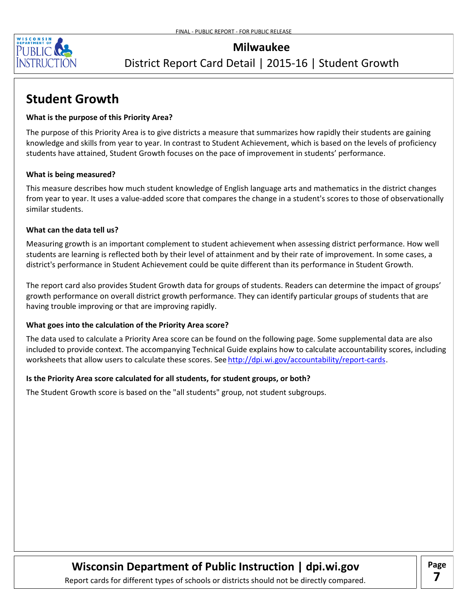

### District Report Card Detail | 2015-16 | Student Growth

# **Student Growth**

#### **What is the purpose of this Priority Area?**

The purpose of this Priority Area is to give districts a measure that summarizes how rapidly their students are gaining knowledge and skills from year to year. In contrast to Student Achievement, which is based on the levels of proficiency students have attained, Student Growth focuses on the pace of improvement in students' performance.

#### **What is being measured?**

This measure describes how much student knowledge of English language arts and mathematics in the district changes from year to year. It uses a value-added score that compares the change in a student's scores to those of observationally similar students.

#### **What can the data tell us?**

Measuring growth is an important complement to student achievement when assessing district performance. How well students are learning is reflected both by their level of attainment and by their rate of improvement. In some cases, a district's performance in Student Achievement could be quite different than its performance in Student Growth.

The report card also provides Student Growth data for groups of students. Readers can determine the impact of groups' growth performance on overall district growth performance. They can identify particular groups of students that are having trouble improving or that are improving rapidly.

#### **What goes into the calculation of the Priority Area score?**

The data used to calculate a Priority Area score can be found on the following page. Some supplemental data are also included to provide context. The accompanying Technical Guide explains how to calculate accountability scores, including worksheets that allow users to calculate these scores. See <u>http://dpi.wi.gov/accountability/report-cards</u>.

#### **Is the Priority Area score calculated for all students, for student groups, or both?**

The Student Growth score is based on the "all students" group, not student subgroups.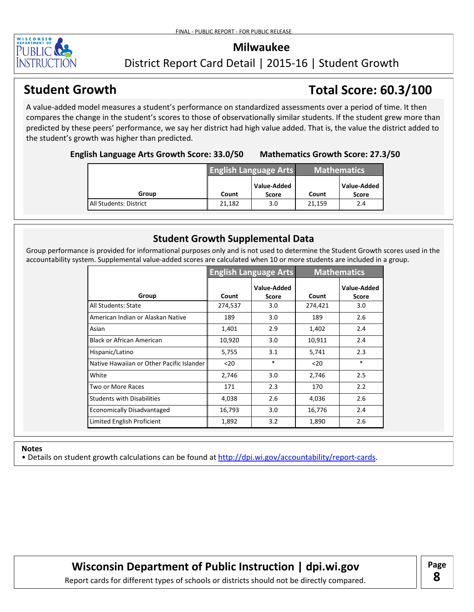

### District Report Card Detail | 2015-16 | Student Growth

# **Student Growth Total Score: 60.3/100**

A value-added model measures a student's performance on standardized assessments over a period of time. It then compares the change in the student's scores to those of observationally similar students. If the student grew more than predicted by these peers' performance, we say her district had high value added. That is, the value the district added to the student's growth was higher than predicted.

**English Language Arts Growth Score: 33.0/50 Mathematics Growth Score: 27.3/50**

|                        |        | <b>English Language Arts</b> | Mathematics |                             |  |
|------------------------|--------|------------------------------|-------------|-----------------------------|--|
| Group                  | Count  | Value-Added<br><b>Score</b>  | Count       | Value-Added<br><b>Score</b> |  |
| All Students: District | 21,182 | 3.0                          | 21,159      | 2.4                         |  |

### **Student Growth Supplemental Data**

Group performance is provided for informational purposes only and is not used to determine the Student Growth scores used in the accountability system. Supplemental value-added scores are calculated when 10 or more students are included in a group.

|                                           |         | <b>English Language Arts</b> |         | <b>Mathematics</b>          |
|-------------------------------------------|---------|------------------------------|---------|-----------------------------|
| Group                                     | Count   | Value-Added<br>Score         | Count   | Value-Added<br><b>Score</b> |
| All Students: State                       | 274,537 | 3.0                          | 274,421 | 3.0                         |
| American Indian or Alaskan Native         | 189     | 3.0                          | 189     | 2.6                         |
| Asian                                     | 1,401   | 2.9                          | 1,402   | 2.4                         |
| Black or African American                 | 10,920  | 3.0                          | 10,911  | 2.4                         |
| Hispanic/Latino                           | 5,755   | 3.1                          | 5,741   | 2.3                         |
| Native Hawaiian or Other Pacific Islander | $20$    | $\ast$                       | $20$    | $\ast$                      |
| White                                     | 2,746   | 3.0                          | 2,746   | 2.5                         |
| Two or More Races                         | 171     | 2.3                          | 170     | 2.2                         |
| <b>Students with Disabilities</b>         | 4,038   | 2.6                          | 4,036   | 2.6                         |
| <b>Economically Disadvantaged</b>         | 16,793  | 3.0                          | 16,776  | 2.4                         |
| Limited English Proficient                | 1,892   | 3.2                          | 1,890   | 2.6                         |

#### **Notes**

• Details on student growth calculations can be found at http://dpi.wi.gov/accountability/report-cards.

**Wisconsin Department of Public Instruction | dpi.wi.gov | Page** 

**8**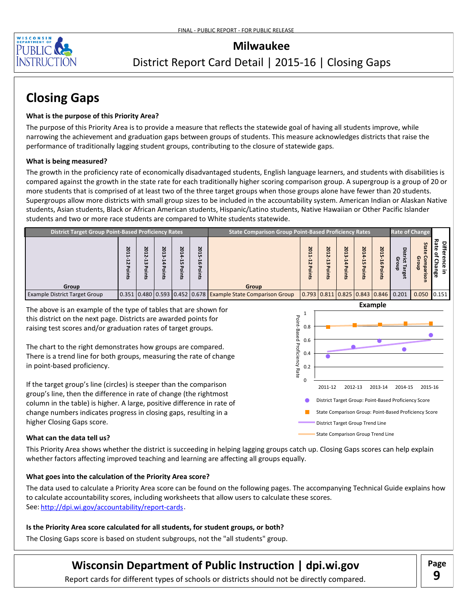

# District Report Card Detail | 2015-16 | Closing Gaps

# **Closing Gaps**

#### **What is the purpose of this Priority Area?**

The purpose of this Priority Area is to provide a measure that reflects the statewide goal of having all students improve, while narrowing the achievement and graduation gaps between groups of students. This measure acknowledges districts that raise the performance of traditionally lagging student groups, contributing to the closure of statewide gaps.

#### **What is being measured?**

The growth in the proficiency rate of economically disadvantaged students, English language learners, and students with disabilities is compared against the growth in the state rate for each traditionally higher scoring comparison group. A supergroup is a group of 20 or more students that is comprised of at least two of the three target groups when those groups alone have fewer than 20 students. Supergroups allow more districts with small group sizes to be included in the accountability system. American Indian or Alaskan Native students, Asian students, Black or African American students, Hispanic/Latino students, Native Hawaiian or Other Pacific Islander students and two or more race students are compared to White students statewide.

| <b>District Target Group Point-Based Proficiency Rates</b> |                       |         |                          |                   |                        | <b>Rate of Change</b><br><b>State Comparison Group Point-Based Proficiency Rates</b> |                                    |                          |                             |                                 |                                                                           |               |                                    |                                          |
|------------------------------------------------------------|-----------------------|---------|--------------------------|-------------------|------------------------|--------------------------------------------------------------------------------------|------------------------------------|--------------------------|-----------------------------|---------------------------------|---------------------------------------------------------------------------|---------------|------------------------------------|------------------------------------------|
|                                                            | N<br>۰<br>N<br>≖<br>쿲 | N<br>سن | 201<br>سن<br>≏<br>۰<br>큱 | N<br>ö<br>iл<br>ᅮ | N<br>$\circ$<br>െ<br>≠ |                                                                                      | $\overline{N}$<br>ន<br>N<br>o<br>큾 | N<br>0<br>N<br>سنا<br>᠊ᠣ | Z<br>ς<br>سن<br>ᅮ<br>Ö<br>큱 | 201<br>늢<br>᠊ᢦ<br>$\circ$<br>Es | N<br>Ο<br><b>un</b><br><b>i</b><br>᠊ᢦ                                     | ୍ରଦ<br>듬<br>œ | S<br>ឆ<br>ಸ<br>ହ ତ<br>핆<br>ಪ್<br>Ο | Diff<br>Rate<br>$\mathbf{a}$<br>=<br>nge |
| Group                                                      |                       |         |                          |                   |                        | <b>Group</b>                                                                         |                                    |                          |                             |                                 |                                                                           |               |                                    |                                          |
| <b>Example District Target Group</b>                       |                       |         |                          |                   |                        | 0.351 0.480 0.593 0.452 0.678 Example State Comparison Group                         |                                    |                          |                             |                                 | $\vert 0.793 \vert 0.811 \vert 0.825 \vert 0.843 \vert 0.846 \vert 0.201$ |               | $0.050$ 0.151                      |                                          |

The above is an example of the type of tables that are shown for this district on the next page. Districts are awarded points for raising test scores and/or graduation rates of target groups.

The chart to the right demonstrates how groups are compared. There is a trend line for both groups, measuring the rate of change in point-based proficiency.

If the target group's line (circles) is steeper than the comparison group's line, then the difference in rate of change (the rightmost column in the table) is higher. A large, positive difference in rate of change numbers indicates progress in closing gaps, resulting in a higher Closing Gaps score.



#### **What can the data tell us?**

This Priority Area shows whether the district is succeeding in helping lagging groups catch up. Closing Gaps scores can help explain whether factors affecting improved teaching and learning are affecting all groups equally.

#### **What goes into the calculation of the Priority Area score?**

The data used to calculate a Priority Area score can be found on the following pages. The accompanying Technical Guide explains how to calculate accountability scores, including worksheets that allow users to calculate these scores. See: http://dpi.wi.gov/accountability/report-cards

#### **Is the Priority Area score calculated for all students, for student groups, or both?**

The Closing Gaps score is based on student subgroups, not the "all students" group.

# **Wisconsin Department of Public Instruction | dpi.wi.gov | Page**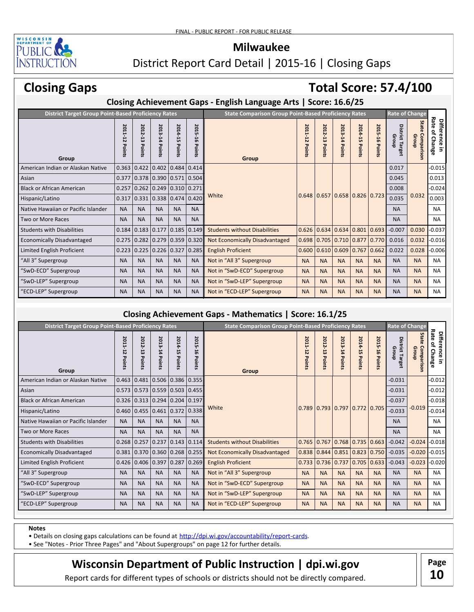

District Report Card Detail | 2015-16 | Closing Gaps

# **Closing Gaps**

# **Total Score: 57.4/100**

### **Closing Achievement Gaps - English Language Arts | Score: 16.6/25**

| <b>District Target Group Point-Based Proficiency Rates</b> |                     |                      |                                 |                   |                   | <b>State Comparison Group Point-Based Proficiency Rates</b> |                          |                                 |                   |                   |                                 | <b>Rate of Change</b>       |                                 |                                                      |
|------------------------------------------------------------|---------------------|----------------------|---------------------------------|-------------------|-------------------|-------------------------------------------------------------|--------------------------|---------------------------------|-------------------|-------------------|---------------------------------|-----------------------------|---------------------------------|------------------------------------------------------|
| Group                                                      | 2011<br>5<br>Points | 2012-<br>5<br>Points | 2013-14<br>Points               | 2014-15<br>Points | 2015-16<br>Points | Group                                                       | 2011<br>P<br>Ñ<br>Points | 2012<br>ದ<br>᠊ᠣ<br><b>Oints</b> | 2013-14<br>Points | 2014-15<br>Points | 2015-16<br>Points               | District<br>Group<br>Target | Sta<br>ನ<br>Comparison<br>Group | Rate<br><b>Difference</b><br>٩<br>Sб<br>高<br>Ξ.<br>൹ |
| American Indian or Alaskan Native                          | 0.363               | 0.422                | 0.402                           | 0.484             | 0.414             |                                                             |                          |                                 |                   |                   |                                 | 0.017                       |                                 | $-0.015$                                             |
| Asian                                                      | 0.377               | 0.378                | $0.390$ $0.571$ $0.504$         |                   |                   |                                                             |                          |                                 |                   |                   |                                 | 0.045                       |                                 | 0.013                                                |
| <b>Black or African American</b>                           | 0.257               |                      | $0.262$ 0.249 0.310 0.271       |                   |                   |                                                             |                          |                                 |                   |                   |                                 | 0.008                       |                                 | $-0.024$                                             |
| Hispanic/Latino                                            | 0.317               | 0.331                | $0.338$ 0.474 0.420             |                   |                   | White                                                       |                          |                                 |                   |                   | $0.648$ 0.657 0.658 0.826 0.723 | 0.035                       | 0.032                           | 0.003                                                |
| Native Hawaiian or Pacific Islander                        | <b>NA</b>           | <b>NA</b>            | <b>NA</b>                       | <b>NA</b>         | <b>NA</b>         |                                                             |                          |                                 |                   |                   |                                 | <b>NA</b>                   |                                 | <b>NA</b>                                            |
| Two or More Races                                          | <b>NA</b>           | <b>NA</b>            | <b>NA</b>                       | <b>NA</b>         | <b>NA</b>         |                                                             |                          |                                 |                   |                   |                                 | <b>NA</b>                   |                                 | <b>NA</b>                                            |
| <b>Students with Disabilities</b>                          | 0.184               |                      | $0.183$ 0.177                   | 0.185             | 0.149             | <b>Students without Disabilities</b>                        | 0.626                    | 0.634                           |                   | $0.634$ 0.801     | 0.693                           | $-0.007$                    | 0.030                           | $-0.037$                                             |
| <b>Economically Disadvantaged</b>                          |                     |                      | $0.275$ 0.282 0.279 0.359 0.320 |                   |                   | Not Economically Disadvantaged                              |                          | $0.698$ 0.705                   |                   | $0.710$ 0.877     | 0.770                           | 0.016                       | 0.032                           | $-0.016$                                             |
| Limited English Proficient                                 | 0.223               | 0.225                | $0.226$ 0.327                   |                   | 0.285             | <b>English Proficient</b>                                   |                          | 0.600   0.610   0.609           |                   | 0.767             | 0.662                           | 0.022                       | 0.028                           | $-0.006$                                             |
| "All 3" Supergroup                                         | <b>NA</b>           | <b>NA</b>            | <b>NA</b>                       | <b>NA</b>         | <b>NA</b>         | Not in "All 3" Supergroup                                   | <b>NA</b>                | <b>NA</b>                       | <b>NA</b>         | <b>NA</b>         | <b>NA</b>                       | <b>NA</b>                   | <b>NA</b>                       | <b>NA</b>                                            |
| "SwD-ECD" Supergroup                                       | <b>NA</b>           | <b>NA</b>            | <b>NA</b>                       | <b>NA</b>         | <b>NA</b>         | Not in "SwD-ECD" Supergroup                                 | <b>NA</b>                | <b>NA</b>                       | <b>NA</b>         | <b>NA</b>         | <b>NA</b>                       | <b>NA</b>                   | <b>NA</b>                       | <b>NA</b>                                            |
| "SwD-LEP" Supergroup                                       | <b>NA</b>           | <b>NA</b>            | <b>NA</b>                       | <b>NA</b>         | <b>NA</b>         | Not in "SwD-LEP" Supergroup                                 | <b>NA</b>                | <b>NA</b>                       | <b>NA</b>         | <b>NA</b>         | <b>NA</b>                       | <b>NA</b>                   | <b>NA</b>                       | <b>NA</b>                                            |
| "ECD-LEP" Supergroup                                       | <b>NA</b>           | <b>NA</b>            | <b>NA</b>                       | <b>NA</b>         | <b>NA</b>         | Not in "ECD-LEP" Supergroup                                 | <b>NA</b>                | <b>NA</b>                       | <b>NA</b>         | <b>NA</b>         | <b>NA</b>                       | <b>NA</b>                   | <b>NA</b>                       | <b>NA</b>                                            |

### **Closing Achievement Gaps - Mathematics | Score: 16.1/25**

| <b>District Target Group Point-Based Proficiency Rates</b> |                   |                                         |                   |                     |                   |                                       | <b>State Comparison Group Point-Based Proficiency Rates</b> |                                    |                   |                                         |                | <b>Rate of Change</b>           |                                      |                                               |
|------------------------------------------------------------|-------------------|-----------------------------------------|-------------------|---------------------|-------------------|---------------------------------------|-------------------------------------------------------------|------------------------------------|-------------------|-----------------------------------------|----------------|---------------------------------|--------------------------------------|-----------------------------------------------|
| Group                                                      | 2011-12<br>Points | 2012-13<br>ᢦ<br>suuo                    | 2013-14<br>Points | 2014-15<br>Points   | 2015-16<br>Points | Group                                 | 2011-12<br>Points                                           | 201<br>Ņ<br>5<br>ᇃ<br><b>Oints</b> | 2013-14<br>Points | 2014-15<br>Points                       | 2015-16 Points | <b>District Target</b><br>Group | State<br>Comparison<br>្មុ<br>e<br>a | Rate<br><b>Difference</b><br>٩<br>Change<br>5 |
| American Indian or Alaskan Native                          | 0.463             | 0.481                                   | 0.506             | $0.386$ 0.355       |                   |                                       |                                                             |                                    |                   |                                         |                | $-0.031$                        |                                      | $-0.012$                                      |
| Asian                                                      |                   | $0.573$   0.573   0.559   0.503   0.455 |                   |                     |                   |                                       |                                                             |                                    |                   |                                         |                | $-0.031$                        |                                      | $-0.012$                                      |
| <b>Black or African American</b>                           |                   | $0.326$ 0.313 0.294 0.204 0.197         |                   |                     |                   |                                       |                                                             |                                    |                   |                                         |                | $-0.037$                        |                                      | $-0.018$                                      |
| Hispanic/Latino                                            |                   | $0.460$ 0.455                           |                   | 0.461 0.372 0.338   |                   | White                                 |                                                             |                                    |                   | $0.789$ $0.793$ $0.797$ $0.772$ $0.705$ |                | $-0.033$                        | $-0.019$                             | $-0.014$                                      |
| Native Hawaiian or Pacific Islander                        | <b>NA</b>         | <b>NA</b>                               | <b>NA</b>         | <b>NA</b>           | <b>NA</b>         |                                       |                                                             |                                    |                   |                                         |                | <b>NA</b>                       |                                      | <b>NA</b>                                     |
| <b>Two or More Races</b>                                   | <b>NA</b>         | <b>NA</b>                               | <b>NA</b>         | <b>NA</b>           | <b>NA</b>         |                                       |                                                             |                                    |                   |                                         |                | <b>NA</b>                       |                                      | <b>NA</b>                                     |
| <b>Students with Disabilities</b>                          | 0.268             | 0.257                                   | 0.237             | 0.143               | 0.114             | <b>Students without Disabilities</b>  | 0.765                                                       |                                    | $0.767$ 0.768     |                                         | $0.735$ 0.663  | $-0.042$                        |                                      | $-0.024$ $-0.018$                             |
| <b>Economically Disadvantaged</b>                          | 0.381             | 0.370                                   |                   | $0.360$ 0.268 0.255 |                   | <b>Not Economically Disadvantaged</b> | 0.838                                                       | 0.844                              | 0.851             |                                         | $0.823$ 0.750  | $-0.035$                        |                                      | $-0.020$ $-0.015$                             |
| Limited English Proficient                                 | 0.426             | 0.406                                   | 0.397             | 0.287               | 0.269             | <b>English Proficient</b>             | 0.733                                                       | $0.736$ 0.737                      |                   |                                         | $0.705$ 0.633  | $-0.043$                        |                                      | $-0.023$ $-0.020$                             |
| "All 3" Supergroup                                         | <b>NA</b>         | <b>NA</b>                               | <b>NA</b>         | <b>NA</b>           | <b>NA</b>         | Not in "All 3" Supergroup             | <b>NA</b>                                                   | <b>NA</b>                          | <b>NA</b>         | <b>NA</b>                               | <b>NA</b>      | <b>NA</b>                       | <b>NA</b>                            | <b>NA</b>                                     |
| "SwD-ECD" Supergroup                                       | <b>NA</b>         | <b>NA</b>                               | <b>NA</b>         | <b>NA</b>           | <b>NA</b>         | Not in "SwD-ECD" Supergroup           | <b>NA</b>                                                   | <b>NA</b>                          | <b>NA</b>         | <b>NA</b>                               | <b>NA</b>      | <b>NA</b>                       | <b>NA</b>                            | <b>NA</b>                                     |
| "SwD-LEP" Supergroup                                       | <b>NA</b>         | <b>NA</b>                               | <b>NA</b>         | <b>NA</b>           | <b>NA</b>         | Not in "SwD-LEP" Supergroup           | <b>NA</b>                                                   | <b>NA</b>                          | <b>NA</b>         | <b>NA</b>                               | <b>NA</b>      | <b>NA</b>                       | <b>NA</b>                            | <b>NA</b>                                     |
| "ECD-LEP" Supergroup                                       | <b>NA</b>         | <b>NA</b>                               | <b>NA</b>         | <b>NA</b>           | <b>NA</b>         | Not in "ECD-LEP" Supergroup           | <b>NA</b>                                                   | <b>NA</b>                          | <b>NA</b>         | <b>NA</b>                               | <b>NA</b>      | <b>NA</b>                       | <b>NA</b>                            | <b>NA</b>                                     |

#### **Notes**

• Details on closing gaps calculations can be found at http://dpi.wi.gov/accountability/report-cards.

• See "Notes - Prior Three Pages" and "About Supergroups" on page 12 for further details.

# **Wisconsin Department of Public Instruction | dpi.wi.gov | Page**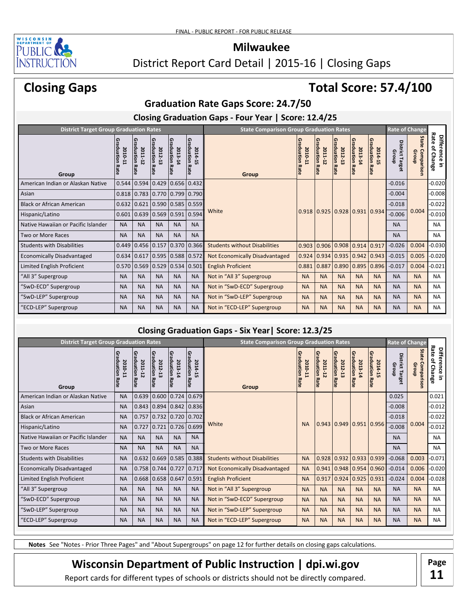

### District Report Card Detail | 2015-16 | Closing Gaps

# **Closing Gaps**

# **Total Score: 57.4/100**

### **Graduation Rate Gaps Score: 24.7/50**

**Closing Graduation Gaps - Four Year | Score: 12.4/25**

| <b>District Target Group Graduation Rates</b> |                          |                                |                                   |                                   |                                   | <b>State Comparison Group Graduation Rates</b> |                                |                                   |                                       |                                            | <b>Rate of Change</b>                                   |                          |                              |                                                          |
|-----------------------------------------------|--------------------------|--------------------------------|-----------------------------------|-----------------------------------|-----------------------------------|------------------------------------------------|--------------------------------|-----------------------------------|---------------------------------------|--------------------------------------------|---------------------------------------------------------|--------------------------|------------------------------|----------------------------------------------------------|
| Group                                         | aduation Rate<br>2010-11 | ໑<br>raduation Rate<br>2011-12 | <b>Graduation Rate</b><br>2012-13 | <b>Graduation Rate</b><br>2013-14 | <b>Graduation Rate</b><br>2014-15 | Group                                          | 0<br>raduation Rate<br>2010-11 | <b>Graduation Rate</b><br>2011-12 | Graduation Ra<br>2012-13<br>$\vec{a}$ | Graduation Ra<br>2013-14<br>$\overline{a}$ | Graduation Rate<br>2014-15                              | District Target<br>Group | State<br>Comparison<br>Group | Rate<br><b>Difference</b><br>of Change<br>$\overline{5}$ |
| American Indian or Alaskan Native             | 0.544                    | 0.594                          | 0.429                             |                                   | $0.656$ 0.432                     |                                                |                                |                                   |                                       |                                            |                                                         | $-0.016$                 |                              | $-0.020$                                                 |
| Asian                                         |                          | $0.818$ 0.783                  | $0.770$ $0.799$ $0.790$           |                                   |                                   |                                                |                                |                                   |                                       |                                            |                                                         | $-0.004$                 |                              | $-0.008$                                                 |
| <b>Black or African American</b>              |                          | 0.632   0.621                  |                                   |                                   | $0.590$ $0.585$ $0.559$           |                                                |                                |                                   |                                       |                                            |                                                         | $-0.018$                 |                              | $-0.022$                                                 |
| Hispanic/Latino                               |                          | $0.601$ 0.639                  |                                   | $0.569$ $0.591$ 0.594             |                                   | White                                          | 0.918                          |                                   |                                       |                                            | $\vert 0.925 \vert 0.928 \vert 0.931 \vert 0.934 \vert$ | $-0.006$                 | 0.004                        | $-0.010$                                                 |
| Native Hawaiian or Pacific Islander           | <b>NA</b>                | <b>NA</b>                      | <b>NA</b>                         | <b>NA</b>                         | <b>NA</b>                         |                                                |                                |                                   |                                       |                                            |                                                         | <b>NA</b>                |                              | <b>NA</b>                                                |
| Two or More Races                             | <b>NA</b>                | <b>NA</b>                      | <b>NA</b>                         | <b>NA</b>                         | <b>NA</b>                         |                                                |                                |                                   |                                       |                                            |                                                         | <b>NA</b>                |                              | <b>NA</b>                                                |
| <b>Students with Disabilities</b>             |                          | $0.449$ 0.456                  | 0.157                             |                                   | $0.370$ 0.366                     | <b>Students without Disabilities</b>           | 0.903                          | 0.906                             |                                       | $0.908$ 0.914 0.917                        |                                                         | $-0.026$                 | 0.004                        | $-0.030$                                                 |
| <b>Economically Disadvantaged</b>             |                          | $0.634 \mid 0.617$             |                                   | $0.595$ 0.588 0.572               |                                   | <b>Not Economically Disadvantaged</b>          | 0.924                          | 0.934                             | 0.935                                 | 0.942                                      | 0.943                                                   | $-0.015$                 | 0.005                        | $-0.020$                                                 |
| Limited English Proficient                    |                          | 0.570   0.569                  |                                   | $0.529$ 0.534 0.501               |                                   | <b>English Proficient</b>                      | 0.881                          | 0.887                             |                                       | 0.890   0.895                              | 0.896                                                   | $-0.017$                 | 0.004                        | $-0.021$                                                 |
| "All 3" Supergroup                            | <b>NA</b>                | <b>NA</b>                      | <b>NA</b>                         | <b>NA</b>                         | <b>NA</b>                         | Not in "All 3" Supergroup                      | <b>NA</b>                      | <b>NA</b>                         | <b>NA</b>                             | <b>NA</b>                                  | <b>NA</b>                                               | <b>NA</b>                | <b>NA</b>                    | <b>NA</b>                                                |
| "SwD-ECD" Supergroup                          | <b>NA</b>                | <b>NA</b>                      | <b>NA</b>                         | <b>NA</b>                         | <b>NA</b>                         | Not in "SwD-ECD" Supergroup                    | <b>NA</b>                      | <b>NA</b>                         | <b>NA</b>                             | <b>NA</b>                                  | <b>NA</b>                                               | <b>NA</b>                | <b>NA</b>                    | <b>NA</b>                                                |
| "SwD-LEP" Supergroup                          | <b>NA</b>                | <b>NA</b>                      | <b>NA</b>                         | <b>NA</b>                         | <b>NA</b>                         | Not in "SwD-LEP" Supergroup                    | <b>NA</b>                      | <b>NA</b>                         | <b>NA</b>                             | <b>NA</b>                                  | <b>NA</b>                                               | <b>NA</b>                | <b>NA</b>                    | <b>NA</b>                                                |
| "ECD-LEP" Supergroup                          | <b>NA</b>                | <b>NA</b>                      | <b>NA</b>                         | <b>NA</b>                         | <b>NA</b>                         | Not in "ECD-LEP" Supergroup                    | <b>NA</b>                      | <b>NA</b>                         | <b>NA</b>                             | <b>NA</b>                                  | <b>NA</b>                                               | <b>NA</b>                | <b>NA</b>                    | <b>NA</b>                                                |

### **Closing Graduation Gaps - Six Year| Score: 12.3/25**

| <b>District Target Group Graduation Rates</b> |                                                |                                                 |                                 |                                |                            |                                      | <b>State Comparison Group Graduation Rates</b> |                                           |                                                |                                |                                   | <b>Rate of Change</b>           |                              |                                               |
|-----------------------------------------------|------------------------------------------------|-------------------------------------------------|---------------------------------|--------------------------------|----------------------------|--------------------------------------|------------------------------------------------|-------------------------------------------|------------------------------------------------|--------------------------------|-----------------------------------|---------------------------------|------------------------------|-----------------------------------------------|
| Group                                         | 0<br>$\overline{a}$<br>duation Rate<br>2010-11 | ໑<br>$\bar{\vec{a}}$<br>duation Rate<br>2011-12 | Gra<br>duation Rate<br>2012-13  | Gra<br>duation Rate<br>2013-14 | Graduation Rate<br>2014-15 | Group                                | 6<br>ā<br>duation Rate<br>2010-11              | 0<br>$\bar{a}$<br>duation Rate<br>2011-12 | 0<br>$\overline{a}$<br>duation Rate<br>2012-13 | Gra<br>duation Rate<br>2013-14 | <b>Graduation Rate</b><br>2014-15 | <b>District Target</b><br>Group | State<br>Comparison<br>Group | Rate<br><b>Difference</b><br>٩<br>Change<br>5 |
| American Indian or Alaskan Native             | <b>NA</b>                                      | 0.639                                           | 0.600                           | 0.724                          | 0.679                      |                                      |                                                |                                           |                                                |                                |                                   | 0.025                           |                              | 0.021                                         |
| Asian                                         | <b>NA</b>                                      |                                                 | $0.843$ 0.894                   | $0.842 \mid 0.836$             |                            |                                      |                                                |                                           |                                                |                                |                                   | $-0.008$                        |                              | $-0.012$                                      |
| <b>Black or African American</b>              | <b>NA</b>                                      | 0.757                                           |                                 | $0.732$ $0.720$ $0.702$        |                            |                                      |                                                |                                           |                                                |                                |                                   | $-0.018$                        |                              | $-0.022$                                      |
| Hispanic/Latino                               | <b>NA</b>                                      | 0.727                                           | 0.721                           | $0.726$ 0.699                  |                            | White                                | <b>NA</b>                                      |                                           |                                                |                                | $0.943$ 0.949 0.951 0.956         | $-0.008$                        | 0.004                        | $-0.012$                                      |
| Native Hawaiian or Pacific Islander           | <b>NA</b>                                      | <b>NA</b>                                       | <b>NA</b>                       | <b>NA</b>                      | <b>NA</b>                  |                                      |                                                |                                           |                                                |                                |                                   | <b>NA</b>                       |                              | <b>NA</b>                                     |
| <b>Two or More Races</b>                      | <b>NA</b>                                      | <b>NA</b>                                       | <b>NA</b>                       | <b>NA</b>                      | <b>NA</b>                  |                                      |                                                |                                           |                                                |                                |                                   | <b>NA</b>                       |                              | <b>NA</b>                                     |
| <b>Students with Disabilities</b>             | <b>NA</b>                                      | 0.632                                           | 0.669                           | 0.585                          | 0.388                      | <b>Students without Disabilities</b> | <b>NA</b>                                      |                                           |                                                |                                | $0.928$ 0.932 0.933 0.939         | $-0.068$                        | 0.003                        | $-0.071$                                      |
| <b>Economically Disadvantaged</b>             | <b>NA</b>                                      |                                                 | $0.758$ 0.744                   | 0.727                          | 0.717                      | Not Economically Disadvantaged       | <b>NA</b>                                      |                                           | $0.941$ 0.948                                  | 0.954                          | 0.960                             | $-0.014$                        | 0.006                        | $-0.020$                                      |
| Limited English Proficient                    | <b>NA</b>                                      |                                                 | $0.668$   0.658   0.647   0.591 |                                |                            | <b>English Proficient</b>            | <b>NA</b>                                      |                                           |                                                |                                | $0.917$ 0.924 0.925 0.931         | $-0.024$                        | 0.004                        | $-0.028$                                      |
| "All 3" Supergroup                            | <b>NA</b>                                      | <b>NA</b>                                       | <b>NA</b>                       | <b>NA</b>                      | <b>NA</b>                  | Not in "All 3" Supergroup            | <b>NA</b>                                      | <b>NA</b>                                 | <b>NA</b>                                      | <b>NA</b>                      | <b>NA</b>                         | <b>NA</b>                       | <b>NA</b>                    | <b>NA</b>                                     |
| "SwD-ECD" Supergroup                          | <b>NA</b>                                      | <b>NA</b>                                       | <b>NA</b>                       | <b>NA</b>                      | <b>NA</b>                  | Not in "SwD-ECD" Supergroup          | <b>NA</b>                                      | <b>NA</b>                                 | <b>NA</b>                                      | <b>NA</b>                      | <b>NA</b>                         | <b>NA</b>                       | <b>NA</b>                    | <b>NA</b>                                     |
| "SwD-LEP" Supergroup                          | <b>NA</b>                                      | <b>NA</b>                                       | <b>NA</b>                       | <b>NA</b>                      | <b>NA</b>                  | Not in "SwD-LEP" Supergroup          | <b>NA</b>                                      | <b>NA</b>                                 | <b>NA</b>                                      | <b>NA</b>                      | <b>NA</b>                         | <b>NA</b>                       | <b>NA</b>                    | <b>NA</b>                                     |
| "ECD-LEP" Supergroup                          | <b>NA</b>                                      | <b>NA</b>                                       | <b>NA</b>                       | <b>NA</b>                      | <b>NA</b>                  | Not in "ECD-LEP" Supergroup          | <b>NA</b>                                      | <b>NA</b>                                 | <b>NA</b>                                      | <b>NA</b>                      | <b>NA</b>                         | <b>NA</b>                       | <b>NA</b>                    | <b>NA</b>                                     |

**Notes** See "Notes - Prior Three Pages" and "About Supergroups" on page 12 for further details on closing gaps calculations.

## **Wisconsin Department of Public Instruction | dpi.wi.gov | Page**

**11**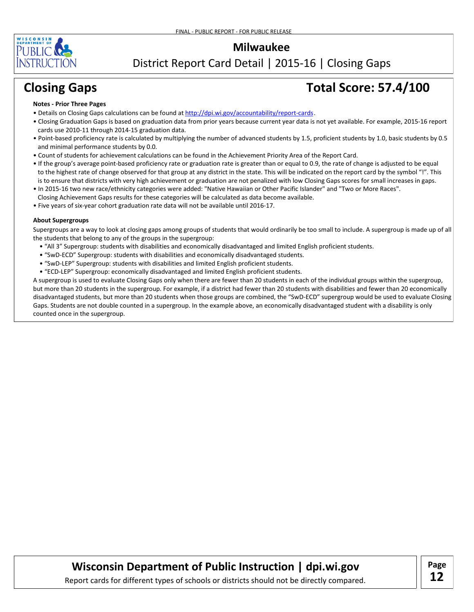

District Report Card Detail | 2015-16 | Closing Gaps

# **Closing Gaps Total Score: 57.4/100**

#### **Notes - Prior Three Pages**

- Details on Closing Gaps calculations can be found at http://dpi.wi.gov/accountability/report-cards.
- Closing Graduation Gaps is based on graduation data from prior years because current year data is not yet available. For example, 2015-16 report cards use 2010-11 through 2014-15 graduation data.
- Point-based proficiency rate is calculated by multiplying the number of advanced students by 1.5, proficient students by 1.0, basic students by 0.5 and minimal performance students by 0.0.
- Count of students for achievement calculations can be found in the Achievement Priority Area of the Report Card.
- If the group's average point-based proficiency rate or graduation rate is greater than or equal to 0.9, the rate of change is adjusted to be equal to the highest rate of change observed for that group at any district in the state. This will be indicated on the report card by the symbol "!". This is to ensure that districts with very high achievement or graduation are not penalized with low Closing Gaps scores for small increases in gaps.
- In 2015-16 two new race/ethnicity categories were added: "Native Hawaiian or Other Pacific Islander" and "Two or More Races". Closing Achievement Gaps results for these categories will be calculated as data become available.
- Five years of six-year cohort graduation rate data will not be available until 2016-17.

#### **About Supergroups**

Supergroups are a way to look at closing gaps among groups of students that would ordinarily be too small to include. A supergroup is made up of all the students that belong to any of the groups in the supergroup:

- "All 3" Supergroup: students with disabilities and economically disadvantaged and limited English proficient students.
- "SwD-ECD" Supergroup: students with disabilities and economically disadvantaged students.
- "SwD-LEP" Supergroup: students with disabilities and limited English proficient students.
- "ECD-LEP" Supergroup: economically disadvantaged and limited English proficient students.

A supergroup is used to evaluate Closing Gaps only when there are fewer than 20 students in each of the individual groups within the supergroup, but more than 20 students in the supergroup. For example, if a district had fewer than 20 students with disabilities and fewer than 20 economically disadvantaged students, but more than 20 students when those groups are combined, the "SwD-ECD" supergroup would be used to evaluate Closing Gaps. Students are not double counted in a supergroup. In the example above, an economically disadvantaged student with a disability is only counted once in the supergroup.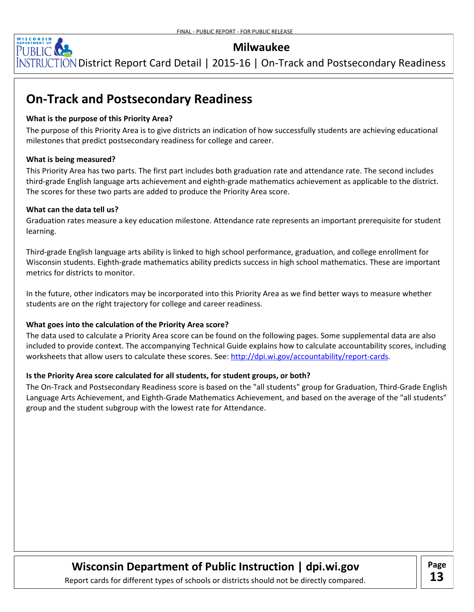

[NSTRUCTION District Report Card Detail | 2015-16 | On-Track and Postsecondary Readiness

# **On-Track and Postsecondary Readiness**

#### **What is the purpose of this Priority Area?**

The purpose of this Priority Area is to give districts an indication of how successfully students are achieving educational milestones that predict postsecondary readiness for college and career.

#### **What is being measured?**

This Priority Area has two parts. The first part includes both graduation rate and attendance rate. The second includes third-grade English language arts achievement and eighth-grade mathematics achievement as applicable to the district. The scores for these two parts are added to produce the Priority Area score.

#### **What can the data tell us?**

Graduation rates measure a key education milestone. Attendance rate represents an important prerequisite for student learning.

Third-grade English language arts ability is linked to high school performance, graduation, and college enrollment for Wisconsin students. Eighth-grade mathematics ability predicts success in high school mathematics. These are important metrics for districts to monitor.

In the future, other indicators may be incorporated into this Priority Area as we find better ways to measure whether students are on the right trajectory for college and career readiness.

#### **What goes into the calculation of the Priority Area score?**

The data used to calculate a Priority Area score can be found on the following pages. Some supplemental data are also included to provide context. The accompanying Technical Guide explains how to calculate accountability scores, including worksheets that allow users to calculate these scores. See: <u>http://dpi.wi.gov/accountability/report-cards</u>.

#### **Is the Priority Area score calculated for all students, for student groups, or both?**

The On-Track and Postsecondary Readiness score is based on the "all students" group for Graduation, Third-Grade English Language Arts Achievement, and Eighth-Grade Mathematics Achievement, and based on the average of the "all students" group and the student subgroup with the lowest rate for Attendance.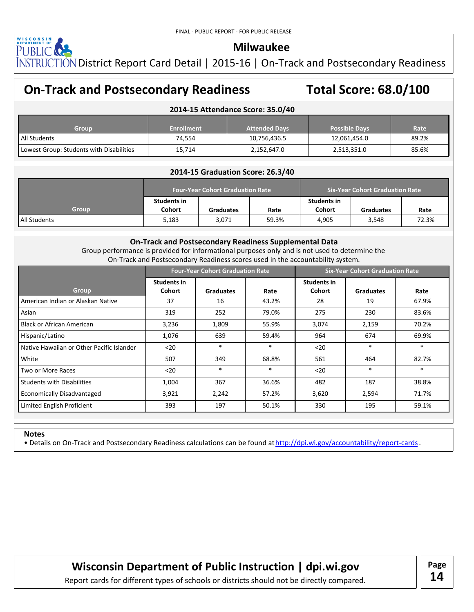

NSTRUCTION District Report Card Detail | 2015-16 | On-Track and Postsecondary Readiness

## **On-Track and Postsecondary Readiness Total Score: 68.0/100**

#### **2014-15 Attendance Score: 35.0/40**

| Group                                    | <b>Enrollment</b> | <b>Attended Davs</b> | <b>Possible Davs</b> | Rate  |
|------------------------------------------|-------------------|----------------------|----------------------|-------|
| All Students                             | 74,554            | 10,756,436.5         | 12,061,454.0         | 89.2% |
| Lowest Group: Students with Disabilities | 15,714            | 2,152,647.0          | 2,513,351.0          | 85.6% |

#### **2014-15 Graduation Score: 26.3/40**

|                     |                              | <b>Four-Year Cohort Graduation Rate</b> |       | <b>Six-Year Cohort Graduation Rate</b> |                  |       |  |  |  |
|---------------------|------------------------------|-----------------------------------------|-------|----------------------------------------|------------------|-------|--|--|--|
| <b>Group</b>        | Students in<br><b>Cohort</b> | <b>Graduates</b>                        | Rate  | Students in<br><b>Cohort</b>           | <b>Graduates</b> | Rate  |  |  |  |
| <b>All Students</b> | 5,183                        | 3,071                                   | 59.3% | 4.905                                  | 3.548            | 72.3% |  |  |  |

#### **On-Track and Postsecondary Readiness Supplemental Data**

Group performance is provided for informational purposes only and is not used to determine the On-Track and Postsecondary Readiness scores used in the accountability system.

|                                           |                              | <b>Four-Year Cohort Graduation Rate</b> |       | <b>Six-Year Cohort Graduation Rate</b> |                  |        |  |  |
|-------------------------------------------|------------------------------|-----------------------------------------|-------|----------------------------------------|------------------|--------|--|--|
| Group                                     | <b>Students in</b><br>Cohort | <b>Graduates</b>                        | Rate  | <b>Students in</b><br>Cohort           | <b>Graduates</b> | Rate   |  |  |
| American Indian or Alaskan Native         | 37                           | 16                                      | 43.2% | 28                                     | 19               | 67.9%  |  |  |
| Asian                                     | 319                          | 252                                     | 79.0% | 275                                    | 230              | 83.6%  |  |  |
| Black or African American                 | 3,236                        | 1,809                                   | 55.9% | 3,074                                  | 2,159            | 70.2%  |  |  |
| Hispanic/Latino                           | 1,076                        | 639                                     | 59.4% | 964                                    | 674              | 69.9%  |  |  |
| Native Hawaiian or Other Pacific Islander | $20$                         | *                                       | *     | $20$                                   | $\ast$           | $\ast$ |  |  |
| White                                     | 507                          | 349                                     | 68.8% | 561                                    | 464              | 82.7%  |  |  |
| Two or More Races                         | $20$                         | $\ast$                                  | *     | $20$                                   | $\ast$           | $\ast$ |  |  |
| <b>Students with Disabilities</b>         | 1,004                        | 367                                     | 36.6% | 482                                    | 187              | 38.8%  |  |  |
| Economically Disadvantaged                | 3,921                        | 2,242                                   | 57.2% | 3,620                                  | 2,594            | 71.7%  |  |  |
| Limited English Proficient                | 393                          | 197                                     | 50.1% | 330                                    | 195              | 59.1%  |  |  |

#### **Notes**

• Details on On-Track and Postsecondary Readiness calculations can be found at http://dpi.wi.gov/accountability/report-cards.

**Wisconsin Department of Public Instruction | dpi.wi.gov | Page**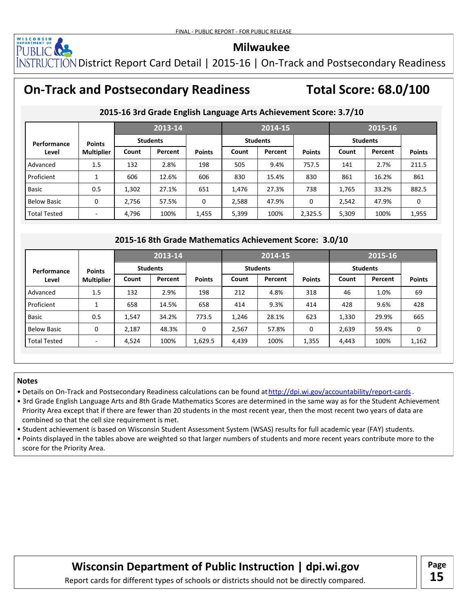

NSTRUCTION District Report Card Detail | 2015-16 | On-Track and Postsecondary Readiness

# **On-Track and Postsecondary Readiness Total Score: 68.0/100**

|                     |                   |       | 2013-14         |               |       | $2014 - 15$                                             |               |       |                 |               |
|---------------------|-------------------|-------|-----------------|---------------|-------|---------------------------------------------------------|---------------|-------|-----------------|---------------|
| Performance         | <b>Points</b>     |       | <b>Students</b> |               |       | <b>Students</b>                                         |               |       | <b>Students</b> |               |
| Level               | <b>Multiplier</b> | Count | Percent         | <b>Points</b> | Count | Percent                                                 | <b>Points</b> | Count | Percent         | <b>Points</b> |
| Advanced            | 1.5               | 132   | 2.8%            | 198           | 505   | 9.4%                                                    | 757.5         | 141   | 2.7%            | 211.5         |
| Proficient          | 1                 | 606   | 12.6%           | 606           | 830   | 15.4%                                                   | 830           | 861   | 16.2%           | 861           |
| Basic               | 0.5               | 1,302 | 27.1%           | 651           | 1,476 | 27.3%                                                   | 738           | 1,765 | 33.2%           | 882.5         |
| <b>Below Basic</b>  | 0                 | 2,756 | 57.5%           | 0             | 2,588 | 47.9%                                                   | 0             | 2,542 | 47.9%           | 0             |
| <b>Total Tested</b> |                   | 4,796 | 100%            | 1,455         | 5,399 | 100%                                                    | 2,325.5       | 5,309 | 100%            | 1,955         |
|                     |                   |       |                 |               |       |                                                         |               |       |                 |               |
|                     |                   |       |                 |               |       | 2015-16 8th Grade Mathematics Achievement Score: 3.0/10 |               |       |                 |               |
|                     |                   |       | 2013-14         |               |       | 2014-15                                                 |               |       | 2015-16         |               |

#### **2015-16 3rd Grade English Language Arts Achievement Score: 3.7/10**

#### **2015-16 8th Grade Mathematics Achievement Score: 3.0/10**

|                     |                          |       |                 |               |       | 2014-15         |               | 2015-16 |                 |               |  |
|---------------------|--------------------------|-------|-----------------|---------------|-------|-----------------|---------------|---------|-----------------|---------------|--|
| Performance         | <b>Points</b>            |       | <b>Students</b> |               |       | <b>Students</b> |               |         | <b>Students</b> |               |  |
| Level               | <b>Multiplier</b>        | Count | Percent         | <b>Points</b> | Count | Percent         | <b>Points</b> | Count   | Percent         | <b>Points</b> |  |
| Advanced            | 1.5                      | 132   | 2.9%            | 198           | 212   | 4.8%            | 318           | 46      | 1.0%            | 69            |  |
| Proficient          | 1                        | 658   | 14.5%           | 658           | 414   | 9.3%            | 414           | 428     | 9.6%            | 428           |  |
| <b>Basic</b>        | 0.5                      | 1,547 | 34.2%           | 773.5         | 1,246 | 28.1%           | 623           | 1,330   | 29.9%           | 665           |  |
| Below Basic         | 0                        | 2,187 | 48.3%           | 0             | 2,567 | 57.8%           | 0             | 2,639   | 59.4%           | 0             |  |
| <b>Total Tested</b> | $\overline{\phantom{a}}$ | 4,524 | 100%            | 1,629.5       | 4,439 | 100%            | 1,355         | 4,443   | 100%            | 1,162         |  |

#### **Notes**

- Details on On-Track and Postsecondary Readiness calculations can be found at http://dpi.wi.gov/accountability/report-cards.
- 3rd Grade English Language Arts and 8th Grade Mathematics Scores are determined in the same way as for the Student Achievement Priority Area except that if there are fewer than 20 students in the most recent year, then the most recent two years of data are combined so that the cell size requirement is met.
- Student achievement is based on Wisconsin Student Assessment System (WSAS) results for full academic year (FAY) students.
- Points displayed in the tables above are weighted so that larger numbers of students and more recent years contribute more to the score for the Priority Area.